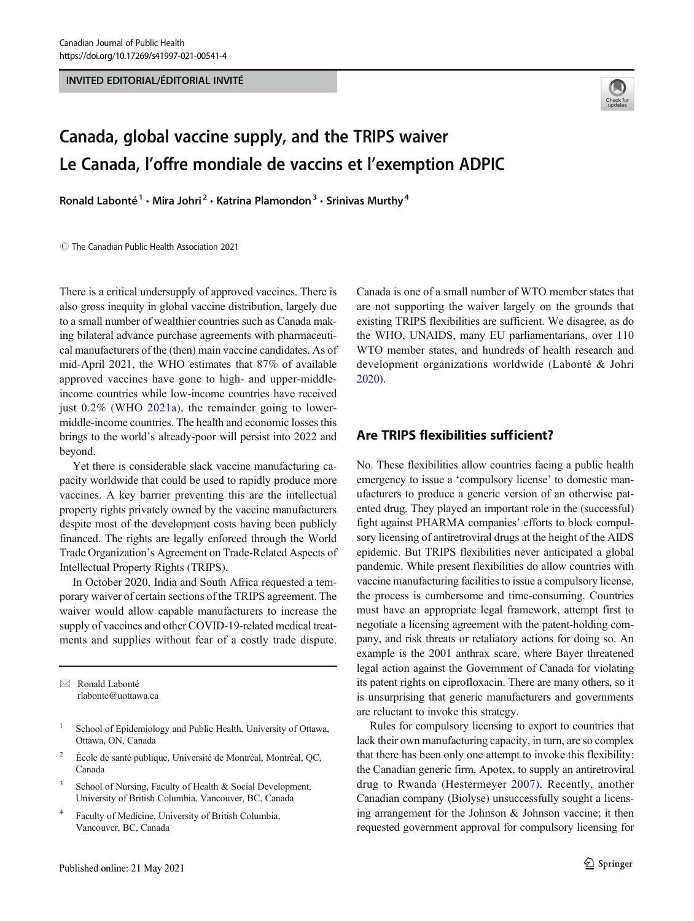INVITED EDITORIAL/ÉDITORIAL INVITÉ



# Canada, global vaccine supply, and the TRIPS waiver Le Canada, l'offre mondiale de vaccins et l'exemption ADPIC

Ronald Labonté<sup>1</sup> · Mira Johri<sup>2</sup> · Katrina Plamondon<sup>3</sup> · Srinivas Murthy<sup>4</sup>

 $\circledR$  The Canadian Public Health Association 2021

There is a critical undersupply of approved vaccines. There is also gross inequity in global vaccine distribution, largely due to a small number of wealthier countries such as Canada making bilateral advance purchase agreements with pharmaceutical manufacturers of the (then) main vaccine candidates. As of mid-April 2021, the WHO estimates that 87% of available approved vaccines have gone to high- and upper-middleincome countries while low-income countries have received just  $0.2\%$  (WHO  $2021a$ ), the remainder going to lowermiddle-income countries. The health and economic losses this brings to the world's already-poor will persist into 2022 and beyond.

Yet there is considerable slack vaccine manufacturing capacity worldwide that could be used to rapidly produce more vaccines. A key barrier preventing this are the intellectual property rights privately owned by the vaccine manufacturers despite most of the development costs having been publicly financed. The rights are legally enforced through the World Trade Organization's Agreement on Trade-Related Aspects of Intellectual Property Rights (TRIPS).

In October 2020, India and South Africa requested a temporary waiver of certain sections of the TRIPS agreement. The waiver would allow capable manufacturers to increase the supply of vaccines and other COVID-19-related medical treatments and supplies without fear of a costly trade dispute.

 $\boxtimes$  Ronald Labonté [rlabonte@uottawa.ca](mailto:rlabonte@uottawa.ca)

- <sup>1</sup> School of Epidemiology and Public Health, University of Ottawa, Ottawa, ON, Canada
- <sup>2</sup> École de santé publique, Université de Montréal, Montréal, QC, Canada
- <sup>3</sup> School of Nursing, Faculty of Health & Social Development, University of British Columbia, Vancouver, BC, Canada
- <sup>4</sup> Faculty of Medicine, University of British Columbia, Vancouver, BC, Canada

Canada is one of a small number of WTO member states that are not supporting the waiver largely on the grounds that existing TRIPS flexibilities are sufficient. We disagree, as do the WHO, UNAIDS, many EU parliamentarians, over 110 WTO member states, and hundreds of health research and development organizations worldwide (Labonté & Johri [2020\)](#page-4-0).

#### Are TRIPS flexibilities sufficient?

No. These flexibilities allow countries facing a public health emergency to issue a 'compulsory license' to domestic manufacturers to produce a generic version of an otherwise patented drug. They played an important role in the (successful) fight against PHARMA companies' efforts to block compulsory licensing of antiretroviral drugs at the height of the AIDS epidemic. But TRIPS flexibilities never anticipated a global pandemic. While present flexibilities do allow countries with vaccine manufacturing facilities to issue a compulsory license, the process is cumbersome and time-consuming. Countries must have an appropriate legal framework, attempt first to negotiate a licensing agreement with the patent-holding company, and risk threats or retaliatory actions for doing so. An example is the 2001 anthrax scare, where Bayer threatened legal action against the Government of Canada for violating its patent rights on ciprofloxacin. There are many others, so it is unsurprising that generic manufacturers and governments are reluctant to invoke this strategy.

Rules for compulsory licensing to export to countries that lack their own manufacturing capacity, in turn, are so complex that there has been only one attempt to invoke this flexibility: the Canadian generic firm, Apotex, to supply an antiretroviral drug to Rwanda (Hestermeyer [2007\)](#page-4-0). Recently, another Canadian company (Biolyse) unsuccessfully sought a licensing arrangement for the Johnson & Johnson vaccine; it then requested government approval for compulsory licensing for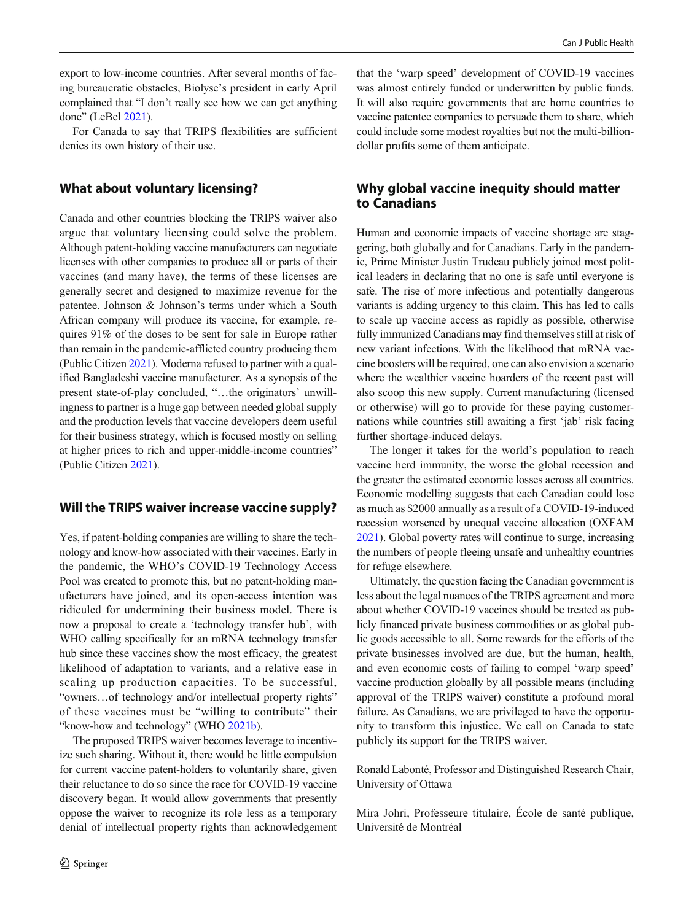export to low-income countries. After several months of facing bureaucratic obstacles, Biolyse's president in early April complained that "I don't really see how we can get anything done" (LeBel [2021\)](#page-4-0).

For Canada to say that TRIPS flexibilities are sufficient denies its own history of their use.

#### What about voluntary licensing?

Canada and other countries blocking the TRIPS waiver also argue that voluntary licensing could solve the problem. Although patent-holding vaccine manufacturers can negotiate licenses with other companies to produce all or parts of their vaccines (and many have), the terms of these licenses are generally secret and designed to maximize revenue for the patentee. Johnson & Johnson's terms under which a South African company will produce its vaccine, for example, requires 91% of the doses to be sent for sale in Europe rather than remain in the pandemic-afflicted country producing them (Public Citizen [2021](#page-4-0)). Moderna refused to partner with a qualified Bangladeshi vaccine manufacturer. As a synopsis of the present state-of-play concluded, "…the originators' unwillingness to partner is a huge gap between needed global supply and the production levels that vaccine developers deem useful for their business strategy, which is focused mostly on selling at higher prices to rich and upper-middle-income countries" (Public Citizen [2021\)](#page-4-0).

#### Will the TRIPS waiver increase vaccine supply?

Yes, if patent-holding companies are willing to share the technology and know-how associated with their vaccines. Early in the pandemic, the WHO's COVID-19 Technology Access Pool was created to promote this, but no patent-holding manufacturers have joined, and its open-access intention was ridiculed for undermining their business model. There is now a proposal to create a 'technology transfer hub', with WHO calling specifically for an mRNA technology transfer hub since these vaccines show the most efficacy, the greatest likelihood of adaptation to variants, and a relative ease in scaling up production capacities. To be successful, "owners…of technology and/or intellectual property rights" of these vaccines must be "willing to contribute" their "know-how and technology" (WHO [2021b](#page-4-0)).

The proposed TRIPS waiver becomes leverage to incentivize such sharing. Without it, there would be little compulsion for current vaccine patent-holders to voluntarily share, given their reluctance to do so since the race for COVID-19 vaccine discovery began. It would allow governments that presently oppose the waiver to recognize its role less as a temporary denial of intellectual property rights than acknowledgement

*A* Springer

that the 'warp speed' development of COVID-19 vaccines was almost entirely funded or underwritten by public funds. It will also require governments that are home countries to vaccine patentee companies to persuade them to share, which could include some modest royalties but not the multi-billiondollar profits some of them anticipate.

# Why global vaccine inequity should matter to Canadians

Human and economic impacts of vaccine shortage are staggering, both globally and for Canadians. Early in the pandemic, Prime Minister Justin Trudeau publicly joined most political leaders in declaring that no one is safe until everyone is safe. The rise of more infectious and potentially dangerous variants is adding urgency to this claim. This has led to calls to scale up vaccine access as rapidly as possible, otherwise fully immunized Canadians may find themselves still at risk of new variant infections. With the likelihood that mRNA vaccine boosters will be required, one can also envision a scenario where the wealthier vaccine hoarders of the recent past will also scoop this new supply. Current manufacturing (licensed or otherwise) will go to provide for these paying customernations while countries still awaiting a first 'jab' risk facing further shortage-induced delays.

The longer it takes for the world's population to reach vaccine herd immunity, the worse the global recession and the greater the estimated economic losses across all countries. Economic modelling suggests that each Canadian could lose as much as \$2000 annually as a result of a COVID-19-induced recession worsened by unequal vaccine allocation (OXFAM [2021\)](#page-4-0). Global poverty rates will continue to surge, increasing the numbers of people fleeing unsafe and unhealthy countries for refuge elsewhere.

Ultimately, the question facing the Canadian government is less about the legal nuances of the TRIPS agreement and more about whether COVID-19 vaccines should be treated as publicly financed private business commodities or as global public goods accessible to all. Some rewards for the efforts of the private businesses involved are due, but the human, health, and even economic costs of failing to compel 'warp speed' vaccine production globally by all possible means (including approval of the TRIPS waiver) constitute a profound moral failure. As Canadians, we are privileged to have the opportunity to transform this injustice. We call on Canada to state publicly its support for the TRIPS waiver.

Ronald Labonté, Professor and Distinguished Research Chair, University of Ottawa

Mira Johri, Professeure titulaire, École de santé publique, Université de Montréal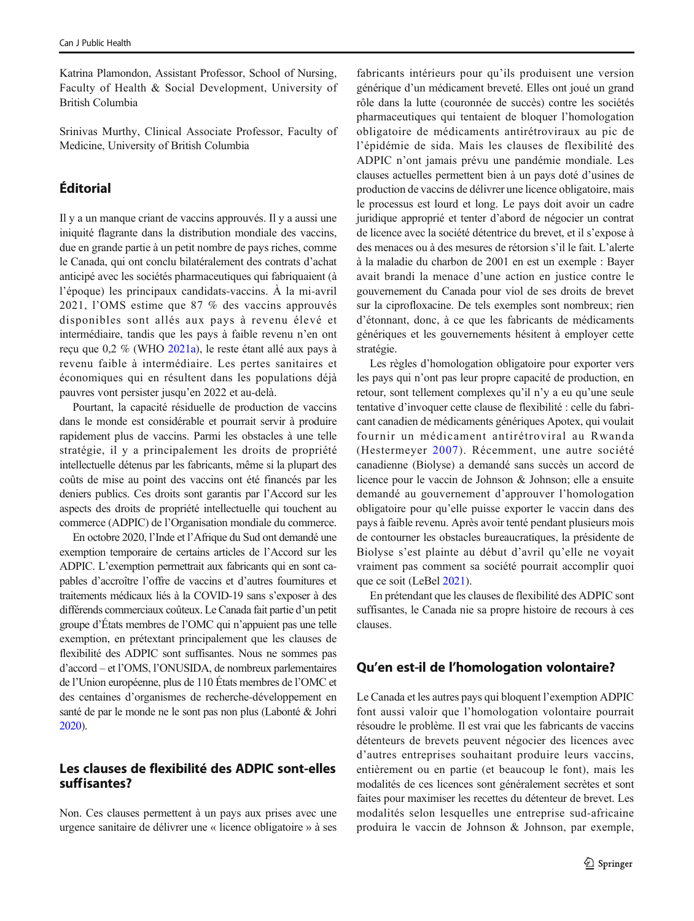Katrina Plamondon, Assistant Professor, School of Nursing, Faculty of Health & Social Development, University of British Columbia

Srinivas Murthy, Clinical Associate Professor, Faculty of Medicine, University of British Columbia

# Éditorial

Il y a un manque criant de vaccins approuvés. Il y a aussi une iniquité flagrante dans la distribution mondiale des vaccins, due en grande partie à un petit nombre de pays riches, comme le Canada, qui ont conclu bilatéralement des contrats d'achat anticipé avec les sociétés pharmaceutiques qui fabriquaient (à l'époque) les principaux candidats-vaccins. À la mi-avril 2021, l'OMS estime que 87 % des vaccins approuvés disponibles sont allés aux pays à revenu élevé et intermédiaire, tandis que les pays à faible revenu n'en ont reçu que 0,2 % (WHO [2021a](#page-4-0)), le reste étant allé aux pays à revenu faible à intermédiaire. Les pertes sanitaires et économiques qui en résultent dans les populations déjà pauvres vont persister jusqu'en 2022 et au-delà.

Pourtant, la capacité résiduelle de production de vaccins dans le monde est considérable et pourrait servir à produire rapidement plus de vaccins. Parmi les obstacles à une telle stratégie, il y a principalement les droits de propriété intellectuelle détenus par les fabricants, même si la plupart des coûts de mise au point des vaccins ont été financés par les deniers publics. Ces droits sont garantis par l'Accord sur les aspects des droits de propriété intellectuelle qui touchent au commerce (ADPIC) de l'Organisation mondiale du commerce.

En octobre 2020, l'Inde et l'Afrique du Sud ont demandé une exemption temporaire de certains articles de l'Accord sur les ADPIC. L'exemption permettrait aux fabricants qui en sont capables d'accroître l'offre de vaccins et d'autres fournitures et traitements médicaux liés à la COVID-19 sans s'exposer à des différends commerciaux coûteux. Le Canada fait partie d'un petit groupe d'États membres de l'OMC qui n'appuient pas une telle exemption, en prétextant principalement que les clauses de flexibilité des ADPIC sont suffisantes. Nous ne sommes pas d'accord – et l'OMS, l'ONUSIDA, de nombreux parlementaires de l'Union européenne, plus de 110 États membres de l'OMC et des centaines d'organismes de recherche-développement en santé de par le monde ne le sont pas non plus (Labonté & Johri [2020\)](#page-4-0).

#### Les clauses de flexibilité des ADPIC sont-elles suffisantes?

Non. Ces clauses permettent à un pays aux prises avec une urgence sanitaire de délivrer une « licence obligatoire » à ses

fabricants intérieurs pour qu'ils produisent une version générique d'un médicament breveté. Elles ont joué un grand rôle dans la lutte (couronnée de succès) contre les sociétés pharmaceutiques qui tentaient de bloquer l'homologation obligatoire de médicaments antirétroviraux au pic de l'épidémie de sida. Mais les clauses de flexibilité des ADPIC n'ont jamais prévu une pandémie mondiale. Les clauses actuelles permettent bien à un pays doté d'usines de production de vaccins de délivrer une licence obligatoire, mais le processus est lourd et long. Le pays doit avoir un cadre juridique approprié et tenter d'abord de négocier un contrat de licence avec la société détentrice du brevet, et il s'expose à des menaces ou à des mesures de rétorsion s'il le fait. L'alerte à la maladie du charbon de 2001 en est un exemple : Bayer avait brandi la menace d'une action en justice contre le gouvernement du Canada pour viol de ses droits de brevet sur la ciprofloxacine. De tels exemples sont nombreux; rien d'étonnant, donc, à ce que les fabricants de médicaments génériques et les gouvernements hésitent à employer cette stratégie.

Les règles d'homologation obligatoire pour exporter vers les pays qui n'ont pas leur propre capacité de production, en retour, sont tellement complexes qu'il n'y a eu qu'une seule tentative d'invoquer cette clause de flexibilité : celle du fabricant canadien de médicaments génériques Apotex, qui voulait fournir un médicament antirétroviral au Rwanda (Hestermeyer [2007\)](#page-4-0). Récemment, une autre société canadienne (Biolyse) a demandé sans succès un accord de licence pour le vaccin de Johnson & Johnson; elle a ensuite demandé au gouvernement d'approuver l'homologation obligatoire pour qu'elle puisse exporter le vaccin dans des pays à faible revenu. Après avoir tenté pendant plusieurs mois de contourner les obstacles bureaucratiques, la présidente de Biolyse s'est plainte au début d'avril qu'elle ne voyait vraiment pas comment sa société pourrait accomplir quoi que ce soit (LeBel [2021\)](#page-4-0).

En prétendant que les clauses de flexibilité des ADPIC sont suffisantes, le Canada nie sa propre histoire de recours à ces clauses.

#### Qu'en est-il de l'homologation volontaire?

Le Canada et les autres pays qui bloquent l'exemption ADPIC font aussi valoir que l'homologation volontaire pourrait résoudre le problème. Il est vrai que les fabricants de vaccins détenteurs de brevets peuvent négocier des licences avec d'autres entreprises souhaitant produire leurs vaccins, entièrement ou en partie (et beaucoup le font), mais les modalités de ces licences sont généralement secrètes et sont faites pour maximiser les recettes du détenteur de brevet. Les modalités selon lesquelles une entreprise sud-africaine produira le vaccin de Johnson & Johnson, par exemple,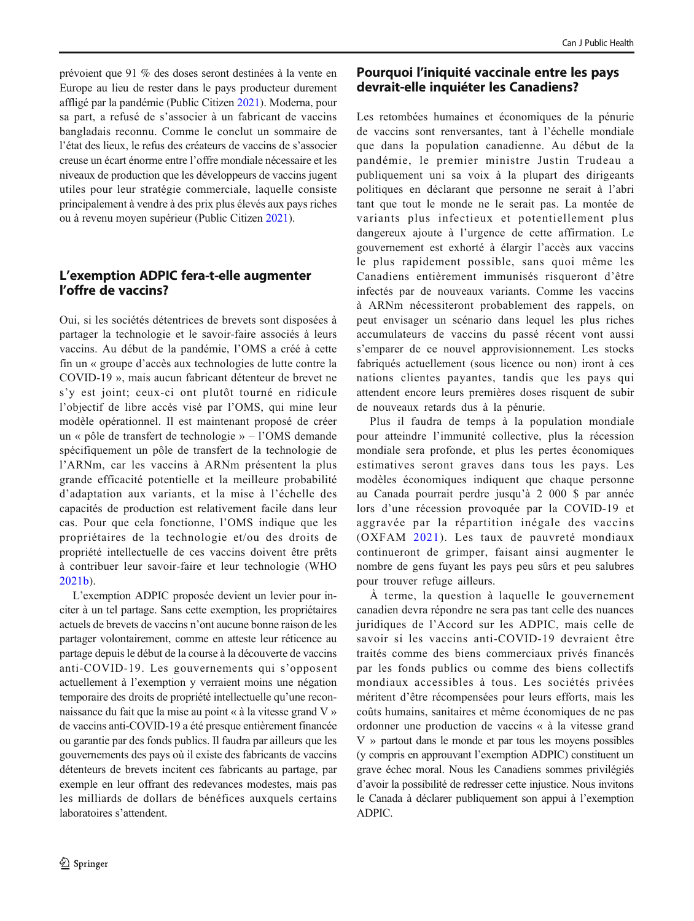prévoient que 91 % des doses seront destinées à la vente en Europe au lieu de rester dans le pays producteur durement affligé par la pandémie (Public Citizen [2021](#page-4-0)). Moderna, pour sa part, a refusé de s'associer à un fabricant de vaccins bangladais reconnu. Comme le conclut un sommaire de l'état des lieux, le refus des créateurs de vaccins de s'associer creuse un écart énorme entre l'offre mondiale nécessaire et les niveaux de production que les développeurs de vaccins jugent utiles pour leur stratégie commerciale, laquelle consiste principalement à vendre à des prix plus élevés aux pays riches ou à revenu moyen supérieur (Public Citizen [2021\)](#page-4-0).

# L'exemption ADPIC fera-t-elle augmenter l'offre de vaccins?

Oui, si les sociétés détentrices de brevets sont disposées à partager la technologie et le savoir-faire associés à leurs vaccins. Au début de la pandémie, l'OMS a créé à cette fin un « groupe d'accès aux technologies de lutte contre la COVID-19 », mais aucun fabricant détenteur de brevet ne s'y est joint; ceux-ci ont plutôt tourné en ridicule l'objectif de libre accès visé par l'OMS, qui mine leur modèle opérationnel. Il est maintenant proposé de créer un « pôle de transfert de technologie » – l'OMS demande spécifiquement un pôle de transfert de la technologie de l'ARNm, car les vaccins à ARNm présentent la plus grande efficacité potentielle et la meilleure probabilité d'adaptation aux variants, et la mise à l'échelle des capacités de production est relativement facile dans leur cas. Pour que cela fonctionne, l'OMS indique que les propriétaires de la technologie et/ou des droits de propriété intellectuelle de ces vaccins doivent être prêts à contribuer leur savoir-faire et leur technologie (WHO [2021b](#page-4-0)).

L'exemption ADPIC proposée devient un levier pour inciter à un tel partage. Sans cette exemption, les propriétaires actuels de brevets de vaccins n'ont aucune bonne raison de les partager volontairement, comme en atteste leur réticence au partage depuis le début de la course à la découverte de vaccins anti-COVID-19. Les gouvernements qui s'opposent actuellement à l'exemption y verraient moins une négation temporaire des droits de propriété intellectuelle qu'une reconnaissance du fait que la mise au point « à la vitesse grand V » de vaccins anti-COVID-19 a été presque entièrement financée ou garantie par des fonds publics. Il faudra par ailleurs que les gouvernements des pays où il existe des fabricants de vaccins détenteurs de brevets incitent ces fabricants au partage, par exemple en leur offrant des redevances modestes, mais pas les milliards de dollars de bénéfices auxquels certains laboratoires s'attendent.

# Pourquoi l'iniquité vaccinale entre les pays devrait-elle inquiéter les Canadiens?

Les retombées humaines et économiques de la pénurie de vaccins sont renversantes, tant à l'échelle mondiale que dans la population canadienne. Au début de la pandémie, le premier ministre Justin Trudeau a publiquement uni sa voix à la plupart des dirigeants politiques en déclarant que personne ne serait à l'abri tant que tout le monde ne le serait pas. La montée de variants plus infectieux et potentiellement plus dangereux ajoute à l'urgence de cette affirmation. Le gouvernement est exhorté à élargir l'accès aux vaccins le plus rapidement possible, sans quoi même les Canadiens entièrement immunisés risqueront d'être infectés par de nouveaux variants. Comme les vaccins à ARNm nécessiteront probablement des rappels, on peut envisager un scénario dans lequel les plus riches accumulateurs de vaccins du passé récent vont aussi s'emparer de ce nouvel approvisionnement. Les stocks fabriqués actuellement (sous licence ou non) iront à ces nations clientes payantes, tandis que les pays qui attendent encore leurs premières doses risquent de subir de nouveaux retards dus à la pénurie.

Plus il faudra de temps à la population mondiale pour atteindre l'immunité collective, plus la récession mondiale sera profonde, et plus les pertes économiques estimatives seront graves dans tous les pays. Les modèles économiques indiquent que chaque personne au Canada pourrait perdre jusqu'à 2 000 \$ par année lors d'une récession provoquée par la COVID-19 et aggravée par la répartition inégale des vaccins (OXFAM [2021\)](#page-4-0). Les taux de pauvreté mondiaux continueront de grimper, faisant ainsi augmenter le nombre de gens fuyant les pays peu sûrs et peu salubres pour trouver refuge ailleurs.

À terme, la question à laquelle le gouvernement canadien devra répondre ne sera pas tant celle des nuances juridiques de l'Accord sur les ADPIC, mais celle de savoir si les vaccins anti-COVID-19 devraient être traités comme des biens commerciaux privés financés par les fonds publics ou comme des biens collectifs mondiaux accessibles à tous. Les sociétés privées méritent d'être récompensées pour leurs efforts, mais les coûts humains, sanitaires et même économiques de ne pas ordonner une production de vaccins « à la vitesse grand V » partout dans le monde et par tous les moyens possibles (y compris en approuvant l'exemption ADPIC) constituent un grave échec moral. Nous les Canadiens sommes privilégiés d'avoir la possibilité de redresser cette injustice. Nous invitons le Canada à déclarer publiquement son appui à l'exemption ADPIC.